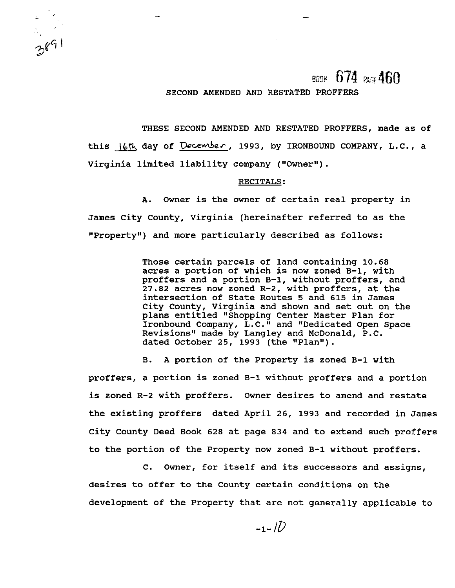BOOK 674 PAGE 460

### SECOND AMENDED AND RESTATED PROFFERS

THESE SECOND AMENDED AND RESTATED PROFFERS, made as of this day of **wc-wkc,** 1993, by IRONBOUND COMPANY, L.C., a Virginia limited liability company ("Owner").

#### RECITALS :

A. Owner is the owner of certain real property in James City County, Virginia (hereinafter referred to as the "Property") and more particularly described as follows:

> Those certain parcels of land containing 10.68 acres a portion of which is now zoned B-1, with proffers and a portion B-1, without proffers, and 27.82 acres now zoned R-2, with proffers, at the intersection of State Routes **5** and 615 in James City County, Virginia and shown and set out on the plans entitled "Shopping Center Master Plan for Ironbound Company, L.C." and "Dedicated Open Space Revisions" made by Langley and McDonald, P.C. dated October 25, 1993 (the "Plan").

B. A portion of the Property is zoned B-1 with proffers, a portion is zoned B-1 without proffers and a portion is zoned R-2 with proffers. Owner desires to amend and restate the existing proffers dated April 26, 1993 and recorded in James City County Deed Book 628 at page 834 and to extend such proffers to the portion of the Property now zoned B-1 without proffers.

C. Owner, for itself and its successors and assigns, desires to offer to the County certain conditions on the development of the Property that are not generally applicable to

 $-1 - 17$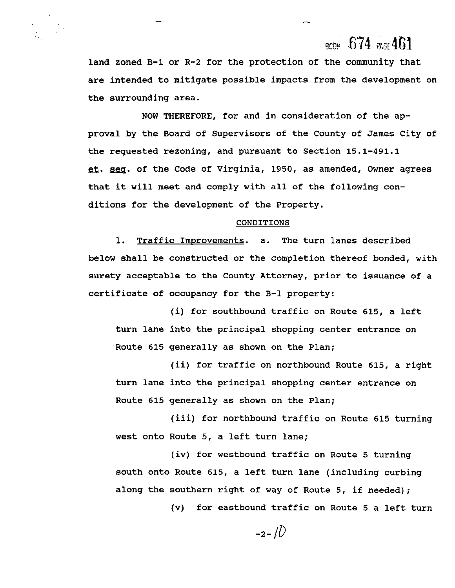# **QCC~ 674 mr** 461

land zoned B-1 or R-2 for the protection of the community that are intended to mitigate possible impacts from the development on the surrounding area.

-

NOW THEREFORE, for and in consideration of the approval by the Board of Supervisors of the County of James City of the requested rezoning, and pursuant to Section 15.1-491.1 et. seg. of the Code of Virginia, 1950, as amended, Owner agrees that it will meet and comply with all of the following conditions for the development of the Property.

#### CONDITIONS

1. Traffic Improvements. a. The turn lanes described below shall be constructed or the completion thereof bonded, with surety acceptable to the County Attorney, prior to issuance of a certificate of occupancy for the B-1 property:

(i) for southbound traffic on Route 615, a left turn lane into the principal shopping center entrance on Route 615 generally as shown on the Plan;

(ii) for traffic on northbound Route 615, a right turn lane into the principal shopping center entrance on Route 615 generally as shown on the Plan;

(iii) for northbound traffic on Route 615 turning west onto Route 5, a left turn lane;

(iv) for westbound traffic on Route 5 turning south onto Route 615, a left turn lane (including curbing along the southern right of way of Route 5, if needed);

(v) for eastbound traffic on Route 5 a left turn

 $-2-1\sqrt{2}$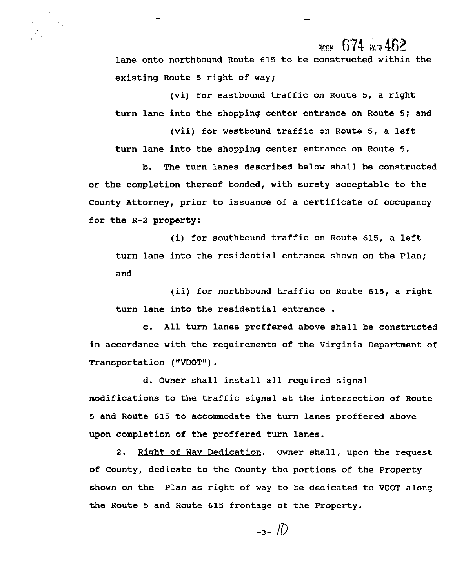$_{\rm grav}$  674  $_{\rm acc}$ 462

lane onto northbound Route 615 to be constructed within the existing Route 5 right of way;

(vi) for eastbound traffic on Route 5, a right turn lane into the shopping center entrance on Route 5; and

(vii) for westbound traffic on Route **5,** a left turn lane into the shopping center entrance on Route 5.

b. The turn lanes described below shall be constructed or the completion thereof bonded, with surety acceptable to the County Attorney, prior to issuance of a certificate of occupancy for the R-2 property:

(i) for southbound traffic on Route 615, a left turn lane into the residential entrance shown on the Plan; and

(ii) for northbound traffic on Route 615, a right turn lane into the residential entrance .

c. All turn lanes proffered above shall be constructed in accordance with the requirements of the Virginia Department of Transportation ( "VDOT" ) .

d. Owner shall install all required signal modifications to the traffic signal at the intersection of Route 5 and Route 615 to accommodate the turn lanes proffered above upon completion of the proffered turn lanes.

2. Right of Way Dedication. Owner shall, upon the request of County, dedicate to the County the portions of the Property shown on the Plan as right of way to be dedicated to VDOT along the Route 5 and Route 615 frontage of the Property.

$$
-3-10
$$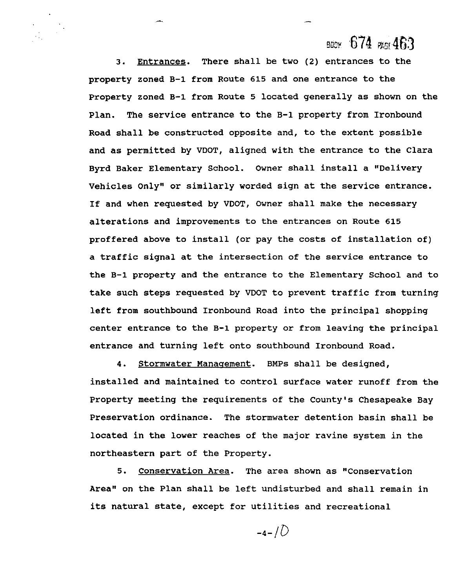# воек 674 жд 463

3. Entrances. There shall be two (2) entrances to the property zoned B-1 from Route 615 and one entrance to the Property zoned B-1 from Route 5 located generally as shown on the Plan. The service entrance to the B-1 property from Ironbound Road shall be constructed opposite and, to the extent possible and as permitted by VDOT, aligned with the entrance to the Clara Byrd Baker Elementary School. Owner shall install a "Delivery Vehicles Only" or similarly worded sign at the service entrance. If and when requested by VDOT, Owner shall make the necessary alterations and improvements to the entrances on Route 615 proffered above to install (or pay the costs of installation of) a traffic signal at the intersection of the service entrance to the B-1 property and the entrance to the Elementary School and to take such steps requested by VDOT to prevent traffic from turning left from southbound Ironbound Road into the principal shopping center entrance to the B-1 property or from leaving the principal entrance and turning left onto southbound Ironbound Road.

4. Stormwater Management. BMPs shall be designed, installed and maintained to control surface water runoff from the Property meeting the requirements of the County's Chesapeake Bay Preservation ordinance. The stormwater detention basin shall be located in the lower reaches of the major ravine system in the northeastern part of the Property.

5. Conservation Area. The area shown as "Conservation Area" on the Plan shall be left undisturbed and shall remain in its natural state, except for utilities and recreational

 $-4-1D$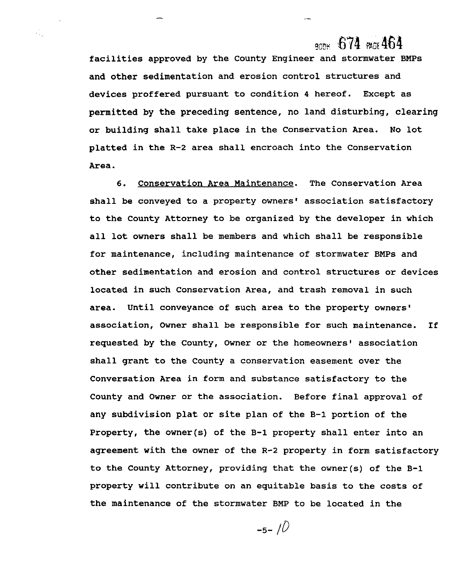## $_{\rm AGN}$  674  $_{\rm AGN}$ 464

facilities approved by the County Engineer and stormwater BMPs and other sedimentation and erosion control structures and devices proffered pursuant to condition **4** hereof. Except as permitted by the preceding sentence, no land disturbing, clearing or building shall take place in the Conservation Area. No lot platted in the R-2 area shall encroach into the Conservation Area.

 $\mathcal{L}_{\mathcal{L}}$ 

6. Conservation Area Maintenance. The Conservation Area shall be conveyed to a property owners' association satisfactory to the County Attorney to be organized by the developer in which all lot owners shall be members and which shall be responsible for maintenance, including maintenance of stormwater BMPs and other sedimentation and erosion and control structures or devices located in such Conservation Area, and trash removal in such area. Until conveyance of such area to the property owners' association, Owner shall be responsible for such maintenance. If requested by the County, Owner or the homeowners' association shall grant to the County a conservation easement over the Conversation Area in form and substance satisfactory to the County and Owner or the association. Before final approval of any subdivision plat or site plan of the B-1 portion of the Property, the owner(s) of the B-1 property shall enter into an agreement with the owner of the R-2 property in form satisfactory to the County Attorney, providing that the owner(s) of the B-1 property will contribute on an equitable basis to the costs of the maintenance of the stormwater BMP to be located in the

 $-5 - 10$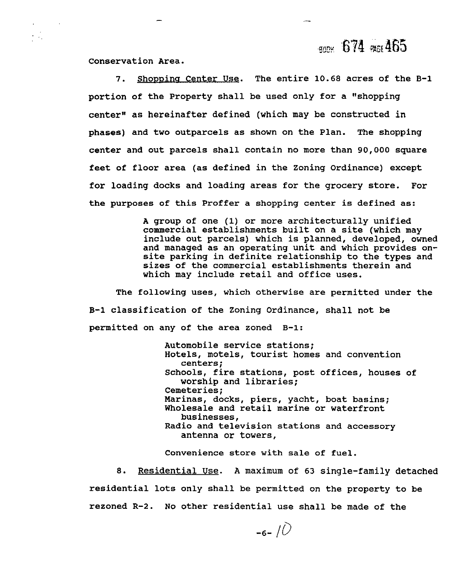$\frac{1}{200}$  674  $\frac{1}{200}$  465

Conservation Area.

 $\sim 10$ 

7. Shopping Center Use. The entire 10.68 acres of the B-1 portion of the Property shall be used only for a "shopping center" as hereinafter defined (which may be constructed in phases) and two outparcels as shown on the Plan. The shopping center and out parcels shall contain no more than 90,000 square feet of floor area (as defined in the Zoning Ordinance) except for loading docks and loading areas for the grocery store. For the purposes of this Proffer a shopping center is defined as:

> A group of one (1) or more architecturally unified commercial establishments built on a site (which may include out parcels) which is planned, developed, owned and managed as an operating unit and which provides onsite parking in definite relationship to the types and sizes of the commercial establishments therein and which may include retail and office uses.

The following uses, which otherwise are permitted under the B-1 classification of the Zoning Ordinance, shall not be permitted on any of the area zoned B-1:

> Automobile service stations; Hotels, motels, tourist homes and convention centers; Schools, fire stations, post offices, houses of worship and libraries; Cemeteries; Marinas, docks, piers, yacht, boat basins; Wholesale and retail marine or waterfront businesses, Radio and television stations and accessory antenna or towers,

Convenience store with sale of fuel.

8. Residential Use. A maximum of 63 single-family detached residential lots only shall be permitted on the property to be rezoned R-2. No other residential use shall be made of the

 $-6-10$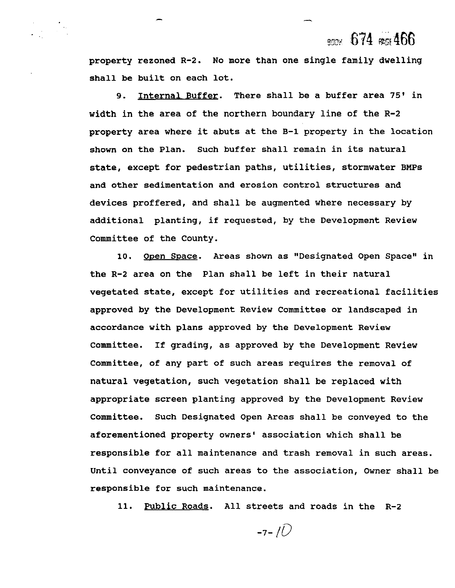# **m \$74** ~466

-

property rezoned R-2. No more than one single family dwelling shall be built on each lot.

9. Internal Buffer. There shall be a buffer area **75'** in width in the area of the northern boundary line of the R-2 property area where it abuts at the **B-1** property in the location shown on the Plan. Such buffer shall remain in its natural state, except for pedestrian paths, utilities, stormwater BMPs and other sedimentation and erosion control structures and devices proffered, and shall be augmented where necessary by additional planting, if requested, by the Development Review Committee of the County.

10. Open Space. Areas shown as "Designated Open Space" in the R-2 area on the Plan shall be left in their natural vegetated state, except for utilities and recreational facilities approved by the Development Review Committee or landscaped in accordance with plans approved by the Development Review Committee. If grading, as approved by the Development Review Committee, of any part of such areas requires the removal of natural vegetation, such vegetation shall be replaced with appropriate screen planting approved by the Development Review Committee. Such Designated Open Areas shall be conveyed to the aforementioned property owners' association which shall be responsible for all maintenance and trash removal in such areas. Until conveyance of such areas to the association, Owner shall be responsible for such maintenance.

11. Public Roads. All streets and roads in the R-2

 $-7 - 10$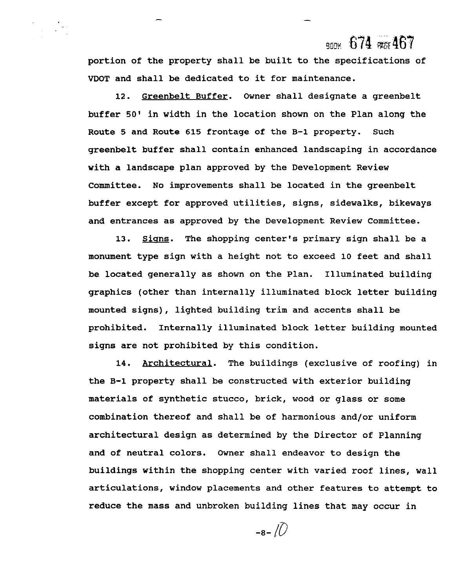## ROOK 674 PAGE 467

portion of the property shall be built to the specifications of VDOT and shall be dedicated to it for maintenance.

12. Greenbelt Buffer. Owner shall designate a greenbelt buffer **50'** in width in the location shown on the Plan along the Route **5** and Route 615 frontage of the B-1 property. Such greenbelt buffer shall contain enhanced landscaping in accordance with a landscape plan approved by the Development Review Committee. No improvements shall be located in the greenbelt buffer except for approved utilities, signs, sidewalks, bikeways and entrances as approved by the Development Review Committee.

13. Signs. The shopping center's primary sign shall be a monument type sign with a height not to exceed 10 feet and shall be located generally as shown on the Plan. Illuminated building graphics (other than internally illuminated block letter building mounted signs), lighted building trim and accents shall be prohibited. Internally illuminated block letter building mounted signs are not prohibited by this condition.

14. Architectural. The buildings (exclusive of roofing) in the B-1 property shall be constructed with exterior building materials of synthetic stucco, brick, wood or glass or some combination thereof and shall be of harmonious and/or uniform architectural design as determined by the Director of Planning and of neutral colors. Owner shall endeavor to design the buildings within the shopping center with varied roof lines, wall articulations, window placements and other features to attempt to reduce the mass and unbroken building lines that may occur in

 $-8-\sqrt{2}$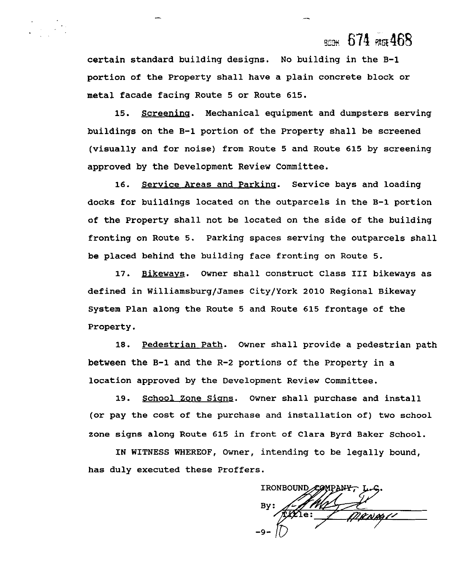## BCOM  $674$  PAGE 468

certain standard building designs. No building in the **B-1**  portion of the Property shall have a plain concrete block or metal facade facing Route **5** or Route **615.** 

**15.** Screeninq. Mechanical equipment and dumpsters serving buildings on the B-1 portion of the Property shall be screened (visually and for noise) from Route **5** and Route **615** by screening approved by the Development Review Committee.

**16.** Service Areas and Parking. Service bays and loading docks for buildings located on the outparcels in the **B-1** portion of the Property shall not be located on the side of the building fronting on Route **5.** Parking spaces serving the outparcels shall be placed behind the building face fronting on Route 5.

17. Bikewavs. Owner shall construct Class **I11** bikeways as defined in Williamsburg/James City/York **2010** Regional Bikeway System Plan along the Route 5 and Route 615 frontage of the Property.

**18.** pedestrian Path. Owner shall provide a pedestrian path between the **B-1** and the R-2 portions of the Property in a location approved by the Development Review Committee.

**19.** School Zone Sians. Owner shall purchase and install (or pay the cost of the purchase and installation of) two school zone signs along Route **615** in front of Clara Byrd Baker School.

IN WITNESS WHEREOF, Owner, intending to be legally bound, has duly executed these Proffers.

IRONBOUND COMPANY 145 L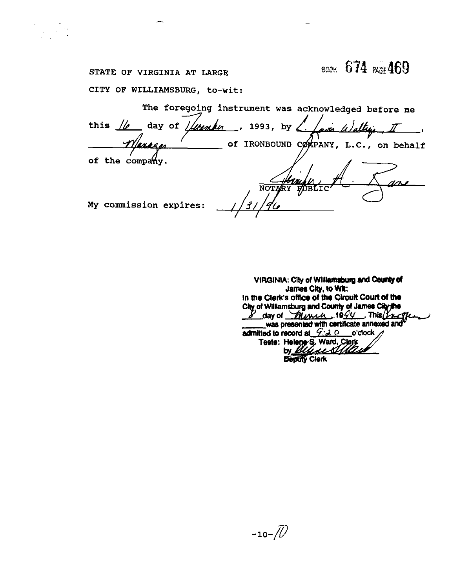# всек. 674 PAGE 469

## STATE OF VIRGINIA AT LARGE

CITY OF WILLIAMSBURG, to-wit:

The foregoing instrument was acknowledged before me this  $\frac{1}{\ell}$  day of  $\frac{1}{\ell}$  1993, by  $\ell$ via Waltin  $\mathbf{r}$ of IRONBOUND COMPANY, L.C., on behalf <u>Ienez w</u> of the company. **NOTA** My commission expires:

VIRGINIA: City of Williamsburg and County of James City, to Wit: In the Clerk's office of the Circuit Court of the City of Williamsburg and County of James City the  $\mathcal{L}$  day of  $\mathcal{L}$   $\mathcal{L}$   $\mathcal{L}$   $\mathcal{L}$   $\mathcal{L}$   $\mathcal{L}$   $\mathcal{L}$   $\mathcal{L}$   $\mathcal{L}$   $\mathcal{L}$   $\mathcal{L}$   $\mathcal{L}$   $\mathcal{L}$   $\mathcal{L}$   $\mathcal{L}$   $\mathcal{L}$   $\mathcal{L}$   $\mathcal{L}$   $\mathcal{L}$   $\mathcal{L}$   $\mathcal{L}$   $\mathcal{L}$   $\mathcal{L}$ admitted to record at  $G: \lambda \circ \text{O}$  o'clock Teste: Helene's, Ward, Clerk **Deptity Clerk**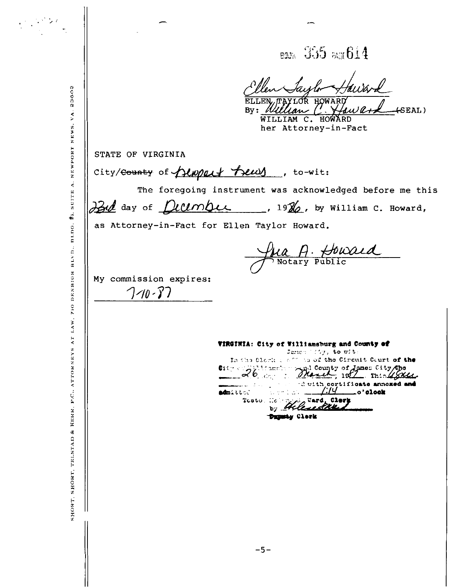**BOON** 355 PAGE 614

LLEN, TAYLOR HOWARD

 $By: *William C* \times$ aw ard  $+$ SEAL $)$ WILLIAM C. HOWARD her Attorney-in-Fact

STATE OF VIRGINIA

state of virginia<br>City/<del>County</del> of *QUNQQUY Treury*, to-wit:

The foregoing instrument was acknowledged before me this Bul day of *December*, 19%, by William C. Howard,

as Attorney-in-Fact for Ellen Taylor Howard.

<u>Jua A. Howard</u>

My commission expires:  $7 - 10 - 37$ 

VIRGINIA: City of Williamsburg and County of

Jamen (157, to wit In the Clork is off to of the Circuit Court of the  $\frac{c_{15}}{26}$  and  $\frac{1}{2}$ The County of Janes City Cho d with cortificate annoxed and \_o'clock admittel Ward, Clory  $T$ coto. -Co Dupaty Clerk

SHORT, SHORT, TELSTAD & KERR, P.C., ATTORNEYS AT LAW. 710 DENBIGH BLVD., BLDG, #1, SUITE A. NEWPORT NEWS, VA. 23602

 $\label{eq:2} \frac{1}{2}\sum_{i=1}^n\frac{1}{2}\sum_{j=1}^n\sum_{j=1}^n\sum_{j=1}^n\sum_{j=1}^n\sum_{j=1}^n\sum_{j=1}^n\sum_{j=1}^n\sum_{j=1}^n\sum_{j=1}^n\sum_{j=1}^n\sum_{j=1}^n\sum_{j=1}^n\sum_{j=1}^n\sum_{j=1}^n\sum_{j=1}^n\sum_{j=1}^n\sum_{j=1}^n\sum_{j=1}^n\sum_{j=1}^n\sum_{j=1}^n\sum_{j=1}^n\sum_{$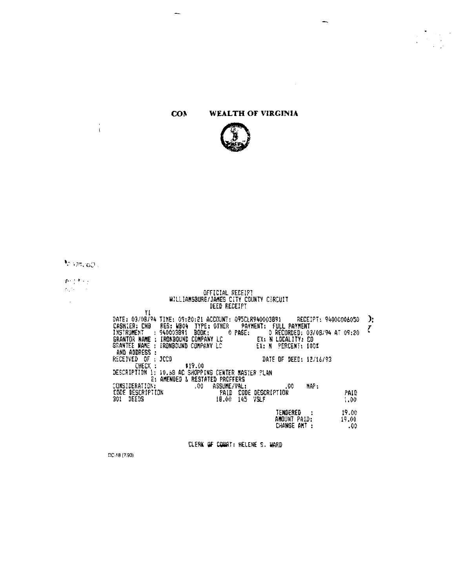#### WEALTH OF VIRGINIA **CON**

 $\overline{\phantom{m}}$ 



-

 $\sim$ 

to smccol.

 $\frac{1}{4}$ 

 $\begin{array}{l} \mathcal{D}^{\alpha}(\mathcal{A},\mathcal{C})\\ \mathcal{D}^{\alpha\beta}(\mathcal{C},\mathcal{C}) \end{array}$ 

 $\sim$ 

# OFFICIAL RECEIPT<br>WILLIAMSBURG/JAMES CITY COUNTY CIRCUIT<br>DEED RECEIPT

| YI<br>DATE: 03/08/94 TIME: 09:20:21 ACCOUNT: 095CLR940003891 RECEIPT: 94000006050 |                               | ♪: |
|-----------------------------------------------------------------------------------|-------------------------------|----|
| REG: WB04 TYPE: OTHER PAYMENT: FULL PAYMENT<br>CASHIER: CHB                       |                               |    |
| INSTRUMENT : 940003891 BOOK:<br>O PASE:                                           | 0 RECORDED: 03/08/94 AT 09:20 |    |
| SRANTOR NAME : IRONBOUND CDMPANY LC                                               | EX: N LOCALITY: CD            |    |
| GRANTEE NAME : IRONBOUND COMPANY LC                                               | EX: N<br>PERCENT: 100%        |    |
| AND ADDRESS :                                                                     |                               |    |
| RECEIVED OF : JCCO                                                                | DATE OF DEED: 12/16/93        |    |
| CHECK :<br>\$19.00                                                                |                               |    |
| DESCRIPTION 1: 10,68 AC SHOPPING CENTER NASTER PLAN                               |                               |    |
| E: AMENDED & RESTATED PROFFERS                                                    |                               |    |
| .00.<br>ASSUME/VAL:<br>CONSIDERATION:                                             | MAP:<br>.00                   |    |
| CODE DESCRIPTION<br>301 DEEDS<br>PAID.                                            | CODE DESCRIPTION<br>PAID      |    |
| DEEDS<br>301.<br>145.<br>18.00                                                    | 7SLF<br>1.00                  |    |
|                                                                                   | TENDERED.<br>19.00            |    |
|                                                                                   | 19.00<br>AMOUNT PAID:         |    |
|                                                                                   | CHANGE AMT:<br>.00            |    |
|                                                                                   |                               |    |

CLERK OF COURT: HELENE S. WARD

DC-18 (7/93)